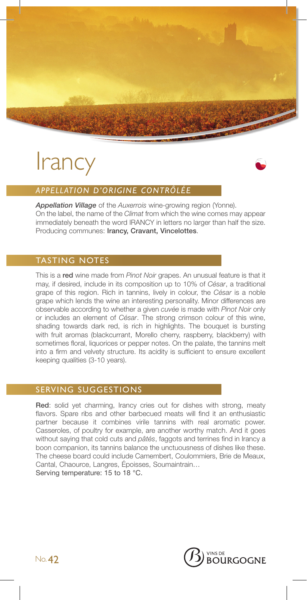

# **Irancy**



# *APPELLATION D'ORIGINE CONTRÔLÉE*

*Appellation Village* of the *Auxerrois* wine-growing region (Yonne). On the label, the name of the *Climat* from which the wine comes may appear immediately beneath the word IRANCY in letters no larger than half the size. Producing communes: Irancy, Cravant, Vincelottes.

#### TASTING NOTES

This is a red wine made from *Pinot Noir* grapes. An unusual feature is that it may, if desired, include in its composition up to 10% of *César*, a traditional grape of this region. Rich in tannins, lively in colour, the *César* is a noble grape which lends the wine an interesting personality. Minor differences are observable according to whether a given *cuvée* is made with *Pinot Noir* only or includes an element of *César*. The strong crimson colour of this wine, shading towards dark red, is rich in highlights. The bouquet is bursting with fruit aromas (blackcurrant, Morello cherry, raspberry, blackberry) with sometimes floral, liquorices or pepper notes. On the palate, the tannins melt into a firm and velvety structure. Its acidity is sufficient to ensure excellent keeping qualities (3-10 years).

#### SERVING SUGGESTIONS

Red: solid yet charming, Irancy cries out for dishes with strong, meaty flavors. Spare ribs and other barbecued meats will find it an enthusiastic partner because it combines virile tannins with real aromatic power. Casseroles, of poultry for example, are another worthy match. And it goes without saying that cold cuts and *pâtés*, faggots and terrines find in Irancy a boon companion, its tannins balance the unctuousness of dishes like these. The cheese board could include Camembert, Coulommiers, Brie de Meaux, Cantal, Chaource, Langres, Époisses, Soumaintrain… Serving temperature: 15 to 18 °C.